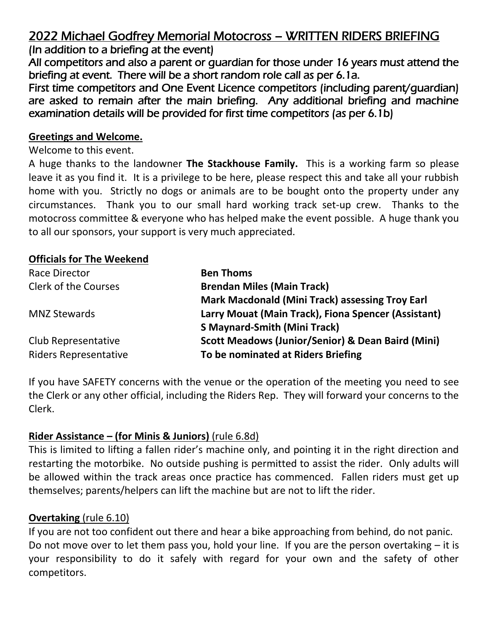# 2022 Michael Godfrey Memorial Motocross – WRITTEN RIDERS BRIEFING

(In addition to a briefing at the event)

All competitors and also a parent or guardian for those under 16 years must attend the briefing at event. There will be a short random role call as per 6.1a.

First time competitors and One Event Licence competitors (including parent/guardian) are asked to remain after the main briefing. Any additional briefing and machine examination details will be provided for first time competitors (as per 6.1b)

### **Greetings and Welcome.**

Welcome to this event.

A huge thanks to the landowner **The Stackhouse Family.** This is a working farm so please leave it as you find it. It is a privilege to be here, please respect this and take all your rubbish home with you. Strictly no dogs or animals are to be bought onto the property under any circumstances. Thank you to our small hard working track set-up crew. Thanks to the motocross committee & everyone who has helped make the event possible. A huge thank you to all our sponsors, your support is very much appreciated.

# **Officials for The Weekend**

| Race Director                | <b>Ben Thoms</b>                                             |
|------------------------------|--------------------------------------------------------------|
| <b>Clerk of the Courses</b>  | <b>Brendan Miles (Main Track)</b>                            |
|                              | <b>Mark Macdonald (Mini Track) assessing Troy Earl</b>       |
| <b>MNZ Stewards</b>          | Larry Mouat (Main Track), Fiona Spencer (Assistant)          |
|                              | <b>S Maynard-Smith (Mini Track)</b>                          |
| Club Representative          | <b>Scott Meadows (Junior/Senior) &amp; Dean Baird (Mini)</b> |
| <b>Riders Representative</b> | To be nominated at Riders Briefing                           |

If you have SAFETY concerns with the venue or the operation of the meeting you need to see the Clerk or any other official, including the Riders Rep. They will forward your concerns to the Clerk.

# **Rider Assistance – (for Minis & Juniors)** (rule 6.8d)

This is limited to lifting a fallen rider's machine only, and pointing it in the right direction and restarting the motorbike. No outside pushing is permitted to assist the rider. Only adults will be allowed within the track areas once practice has commenced. Fallen riders must get up themselves; parents/helpers can lift the machine but are not to lift the rider.

# **Overtaking** (rule 6.10)

If you are not too confident out there and hear a bike approaching from behind, do not panic. Do not move over to let them pass you, hold your line. If you are the person overtaking – it is your responsibility to do it safely with regard for your own and the safety of other competitors.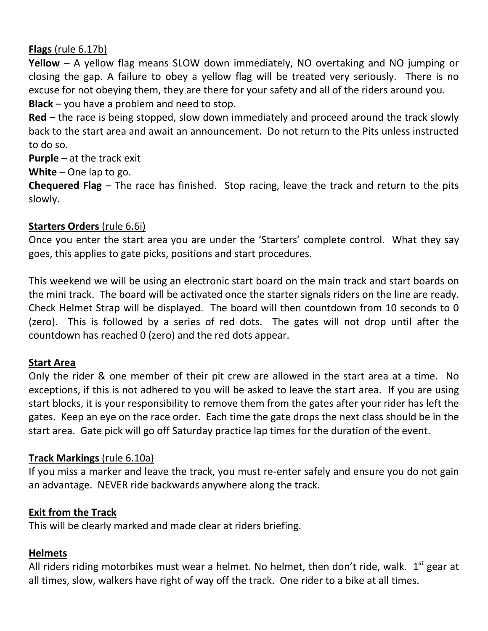# **Flags** (rule 6.17b)

**Yellow** – A yellow flag means SLOW down immediately, NO overtaking and NO jumping or closing the gap. A failure to obey a yellow flag will be treated very seriously. There is no excuse for not obeying them, they are there for your safety and all of the riders around you. **Black** – you have a problem and need to stop.

**Red** – the race is being stopped, slow down immediately and proceed around the track slowly back to the start area and await an announcement. Do not return to the Pits unless instructed to do so.

**Purple** – at the track exit

**White** – One lap to go.

**Chequered Flag** – The race has finished. Stop racing, leave the track and return to the pits slowly.

# **Starters Orders** (rule 6.6i)

Once you enter the start area you are under the 'Starters' complete control. What they say goes, this applies to gate picks, positions and start procedures.

This weekend we will be using an electronic start board on the main track and start boards on the mini track. The board will be activated once the starter signals riders on the line are ready. Check Helmet Strap will be displayed. The board will then countdown from 10 seconds to 0 (zero). This is followed by a series of red dots. The gates will not drop until after the countdown has reached 0 (zero) and the red dots appear.

# **Start Area**

Only the rider & one member of their pit crew are allowed in the start area at a time. No exceptions, if this is not adhered to you will be asked to leave the start area. If you are using start blocks, it is your responsibility to remove them from the gates after your rider has left the gates. Keep an eye on the race order. Each time the gate drops the next class should be in the start area. Gate pick will go off Saturday practice lap times for the duration of the event.

# **Track Markings** (rule 6.10a)

If you miss a marker and leave the track, you must re-enter safely and ensure you do not gain an advantage. NEVER ride backwards anywhere along the track.

# **Exit from the Track**

This will be clearly marked and made clear at riders briefing.

# **Helmets**

All riders riding motorbikes must wear a helmet. No helmet, then don't ride, walk.  $1<sup>st</sup>$  gear at all times, slow, walkers have right of way off the track. One rider to a bike at all times.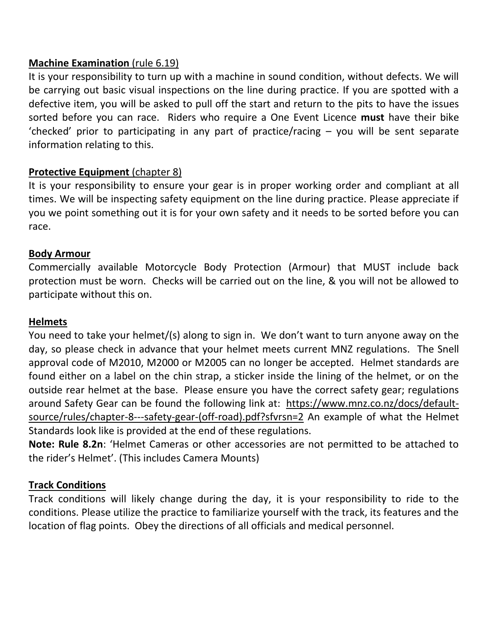### **Machine Examination** (rule 6.19)

It is your responsibility to turn up with a machine in sound condition, without defects. We will be carrying out basic visual inspections on the line during practice. If you are spotted with a defective item, you will be asked to pull off the start and return to the pits to have the issues sorted before you can race. Riders who require a One Event Licence **must** have their bike 'checked' prior to participating in any part of practice/racing – you will be sent separate information relating to this.

# **Protective Equipment** (chapter 8)

It is your responsibility to ensure your gear is in proper working order and compliant at all times. We will be inspecting safety equipment on the line during practice. Please appreciate if you we point something out it is for your own safety and it needs to be sorted before you can race.

### **Body Armour**

Commercially available Motorcycle Body Protection (Armour) that MUST include back protection must be worn. Checks will be carried out on the line, & you will not be allowed to participate without this on.

# **Helmets**

You need to take your helmet/(s) along to sign in. We don't want to turn anyone away on the day, so please check in advance that your helmet meets current MNZ regulations. The Snell approval code of M2010, M2000 or M2005 can no longer be accepted. Helmet standards are found either on a label on the chin strap, a sticker inside the lining of the helmet, or on the outside rear helmet at the base. Please ensure you have the correct safety gear; regulations around Safety Gear can be found the following link at: [https://www.mnz.co.nz/docs/default](https://www.mnz.co.nz/docs/default-source/rules/chapter-8---safety-gear-(off-road).pdf?sfvrsn=2)[source/rules/chapter-8---safety-gear-\(off-road\).pdf?sfvrsn=2](https://www.mnz.co.nz/docs/default-source/rules/chapter-8---safety-gear-(off-road).pdf?sfvrsn=2) An example of what the Helmet Standards look like is provided at the end of these regulations.

**Note: Rule 8.2n**: 'Helmet Cameras or other accessories are not permitted to be attached to the rider's Helmet'. (This includes Camera Mounts)

# **Track Conditions**

Track conditions will likely change during the day, it is your responsibility to ride to the conditions. Please utilize the practice to familiarize yourself with the track, its features and the location of flag points. Obey the directions of all officials and medical personnel.